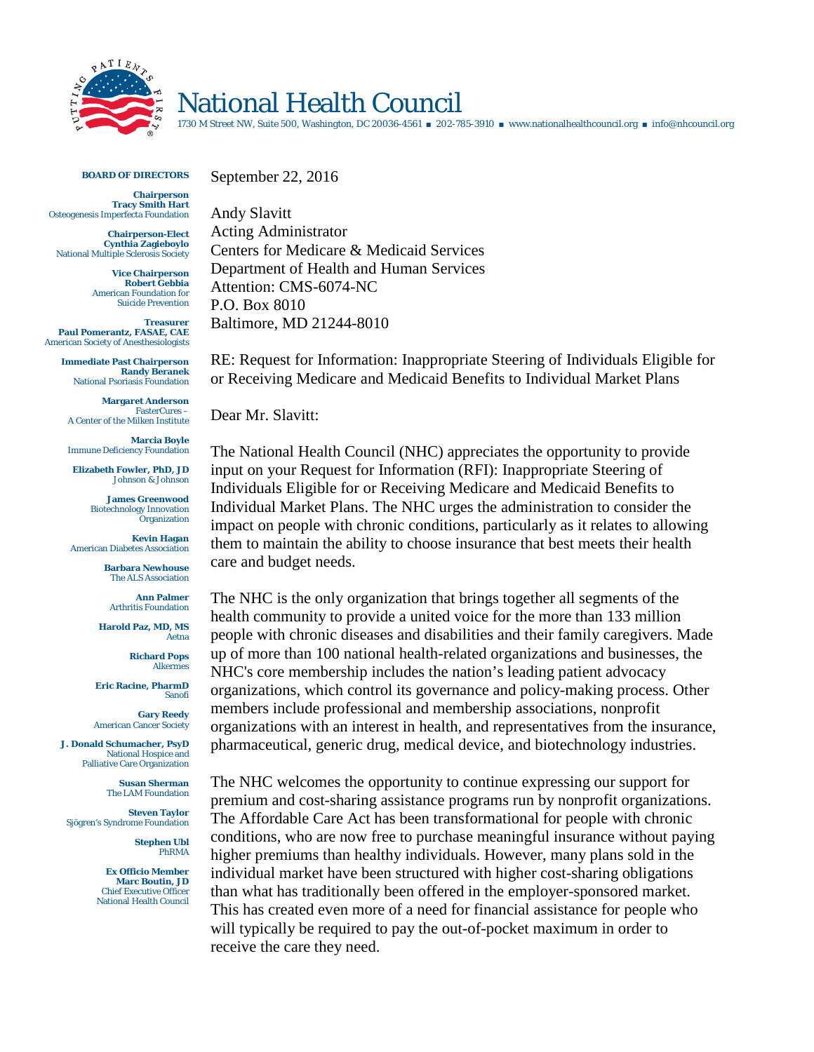

## National Health Council

1730 M Street NW, Suite 500, Washington, DC 20036-4561 ■ 202-785-3910 ■ www.nationalhealthcouncil.org ■ info@nhcouncil.org

**BOARD OF DIRECTORS**

**Chairperson Tracy Smith Hart** Osteogenesis Imperfecta Foundation

**Chairperson-Elect Cynthia Zagieboylo** National Multiple Sclerosis Society

> **Vice Chairperson Robert Gebbia** American Foundation for Suicide Prevention

**Treasurer Paul Pomerantz, FASAE, CAE** American Society of Anesthesiologists

> **Immediate Past Chairperson Randy Beranek** National Psoriasis Foundation

**Margaret Anderson** FasterCures – A Center of the Milken Institute

**Marcia Boyle** Immune Deficiency Foundation

**Elizabeth Fowler, PhD, JD** Johnson & Johnson

> **James Greenwood** Biotechnology Innovation **Organization**

**Kevin Hagan** American Diabetes Association

> **Barbara Newhouse** The ALS Association

**Ann Palmer** Arthritis Foundation

**Harold Paz, MD, MS** Aetna

> **Richard Pops** Alkermes

**Eric Racine, PharmD** Sanofi

**Gary Reedy** American Cancer Society

**J. Donald Schumacher, PsyD** National Hospice and Palliative Care Organization

> **Susan Sherman** The LAM Foundation

**Steven Taylor** Sjögren's Syndrome Foundation

> **Stephen Ubl** PhRMA

**Ex Officio Member Marc Boutin, JD** Chief Executive Officer National Health Council

September 22, 2016 Andy Slavitt

Acting Administrator Centers for Medicare & Medicaid Services Department of Health and Human Services Attention: CMS-6074-NC P.O. Box 8010 Baltimore, MD 21244-8010

RE: Request for Information: Inappropriate Steering of Individuals Eligible for or Receiving Medicare and Medicaid Benefits to Individual Market Plans

Dear Mr. Slavitt:

The National Health Council (NHC) appreciates the opportunity to provide input on your Request for Information (RFI): Inappropriate Steering of Individuals Eligible for or Receiving Medicare and Medicaid Benefits to Individual Market Plans. The NHC urges the administration to consider the impact on people with chronic conditions, particularly as it relates to allowing them to maintain the ability to choose insurance that best meets their health care and budget needs.

The NHC is the only organization that brings together all segments of the health community to provide a united voice for the more than 133 million people with chronic diseases and disabilities and their family caregivers. Made up of more than 100 national health-related organizations and businesses, the NHC's core membership includes the nation's leading patient advocacy organizations, which control its governance and policy-making process. Other members include professional and membership associations, nonprofit organizations with an interest in health, and representatives from the insurance, pharmaceutical, generic drug, medical device, and biotechnology industries.

The NHC welcomes the opportunity to continue expressing our support for premium and cost-sharing assistance programs run by nonprofit organizations. The Affordable Care Act has been transformational for people with chronic conditions, who are now free to purchase meaningful insurance without paying higher premiums than healthy individuals. However, many plans sold in the individual market have been structured with higher cost-sharing obligations than what has traditionally been offered in the employer-sponsored market. This has created even more of a need for financial assistance for people who will typically be required to pay the out-of-pocket maximum in order to receive the care they need.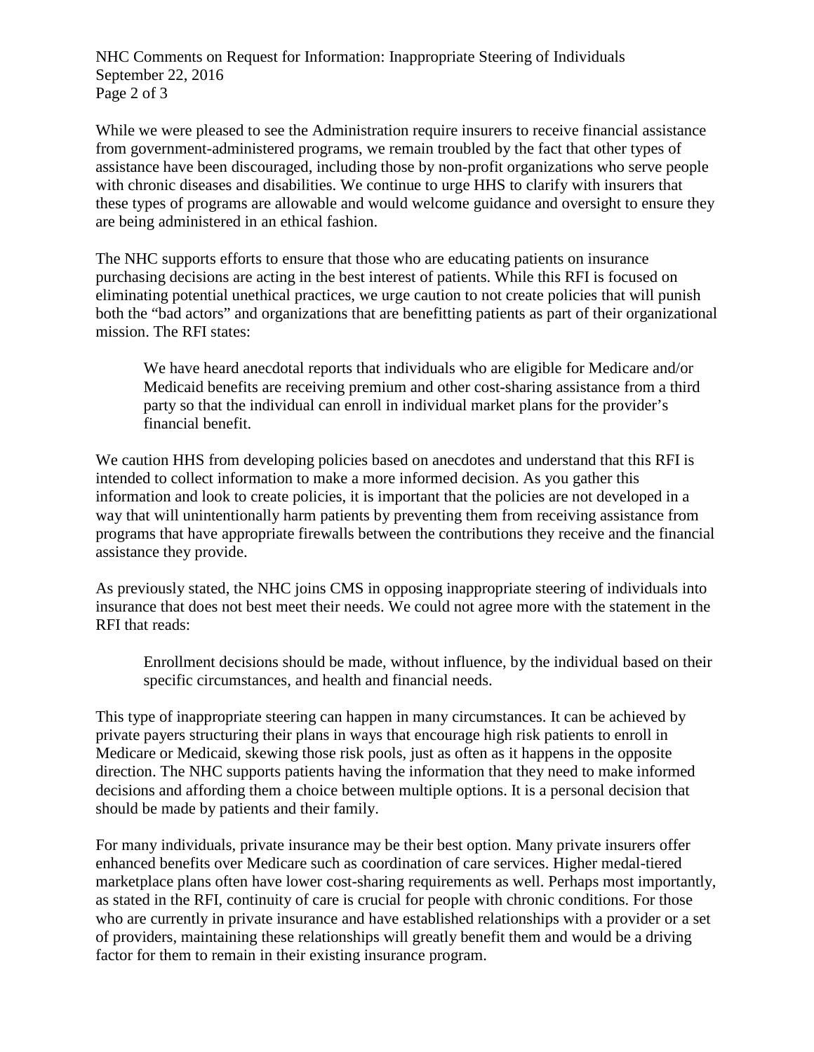NHC Comments on Request for Information: Inappropriate Steering of Individuals September 22, 2016 Page 2 of 3

While we were pleased to see the Administration require insurers to receive financial assistance from government-administered programs, we remain troubled by the fact that other types of assistance have been discouraged, including those by non-profit organizations who serve people with chronic diseases and disabilities. We continue to urge HHS to clarify with insurers that these types of programs are allowable and would welcome guidance and oversight to ensure they are being administered in an ethical fashion.

The NHC supports efforts to ensure that those who are educating patients on insurance purchasing decisions are acting in the best interest of patients. While this RFI is focused on eliminating potential unethical practices, we urge caution to not create policies that will punish both the "bad actors" and organizations that are benefitting patients as part of their organizational mission. The RFI states:

We have heard anecdotal reports that individuals who are eligible for Medicare and/or Medicaid benefits are receiving premium and other cost-sharing assistance from a third party so that the individual can enroll in individual market plans for the provider's financial benefit.

We caution HHS from developing policies based on anecdotes and understand that this RFI is intended to collect information to make a more informed decision. As you gather this information and look to create policies, it is important that the policies are not developed in a way that will unintentionally harm patients by preventing them from receiving assistance from programs that have appropriate firewalls between the contributions they receive and the financial assistance they provide.

As previously stated, the NHC joins CMS in opposing inappropriate steering of individuals into insurance that does not best meet their needs. We could not agree more with the statement in the RFI that reads:

Enrollment decisions should be made, without influence, by the individual based on their specific circumstances, and health and financial needs.

This type of inappropriate steering can happen in many circumstances. It can be achieved by private payers structuring their plans in ways that encourage high risk patients to enroll in Medicare or Medicaid, skewing those risk pools, just as often as it happens in the opposite direction. The NHC supports patients having the information that they need to make informed decisions and affording them a choice between multiple options. It is a personal decision that should be made by patients and their family.

For many individuals, private insurance may be their best option. Many private insurers offer enhanced benefits over Medicare such as coordination of care services. Higher medal-tiered marketplace plans often have lower cost-sharing requirements as well. Perhaps most importantly, as stated in the RFI, continuity of care is crucial for people with chronic conditions. For those who are currently in private insurance and have established relationships with a provider or a set of providers, maintaining these relationships will greatly benefit them and would be a driving factor for them to remain in their existing insurance program.